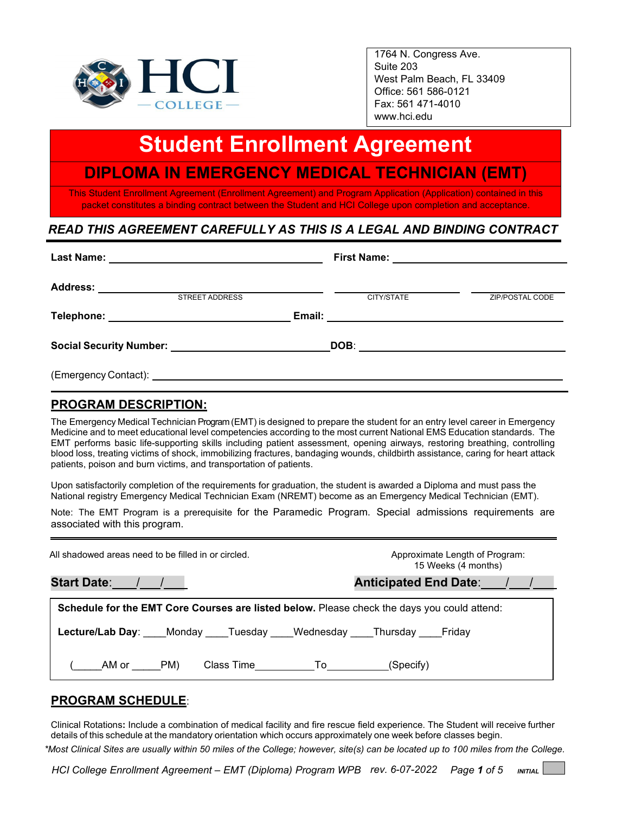

1764 N. Congress Ave. Suite 203 West Palm Beach, FL 33409 Office: 561 586-0121 Fax: 561 471-4010 www.hci.edu

# l, **Student Enrollment Agreement**

# **DIPLOMA IN EMERGENCY MEDICAL TECHNICIAN (EMT)**

This Student Enrollment Agreement (Enrollment Agreement) and Program Application (Application) contained in this packet constitutes a binding contract between the Student and HCI College upon completion and acceptance.

## *READ THIS AGREEMENT CAREFULLY AS THIS IS A LEGAL AND BINDING CONTRACT*

|                                                                                                                                                                                                                                     | <b>STREET ADDRESS</b> | CITY/STATE | ZIP/POSTAL CODE |
|-------------------------------------------------------------------------------------------------------------------------------------------------------------------------------------------------------------------------------------|-----------------------|------------|-----------------|
| Telephone: New York State State State State State State State State State State State State State State State State State State State State State State State State State State State State State State State State State Stat      |                       |            |                 |
| Social Security Number: Social Security Number:                                                                                                                                                                                     |                       |            |                 |
| (Emergency Contact): <u>contacted</u> and the control of the control of the control of the control of the control of the control of the control of the control of the control of the control of the control of the control of the c |                       |            |                 |

### **PROGRAM DESCRIPTION:**

The Emergency Medical Technician Program (EMT) is designed to prepare the student for an entry level career in Emergency Medicine and to meet educational level competencies according to the most current National EMS Education standards. The EMT performs basic life-supporting skills including patient assessment, opening airways, restoring breathing, controlling blood loss, treating victims of shock, immobilizing fractures, bandaging wounds, childbirth assistance, caring for heart attack patients, poison and burn victims, and transportation of patients.

Upon satisfactorily completion of the requirements for graduation, the student is awarded a Diploma and must pass the National registry Emergency Medical Technician Exam (NREMT) become as an Emergency Medical Technician (EMT).

Note: The EMT Program is a prerequisite for the Paramedic Program. Special admissions requirements are associated with this program.

| All shadowed areas need to be filled in or circled.                                         | Approximate Length of Program:<br>15 Weeks (4 months) |
|---------------------------------------------------------------------------------------------|-------------------------------------------------------|
| Start Date: / /                                                                             | Anticipated End Date: / /                             |
| Schedule for the EMT Core Courses are listed below. Please check the days you could attend: |                                                       |
| <b>Lecture/Lab Day:</b> Monday Tuesday Wednesday Thursday Friday                            |                                                       |
| PM)<br>AM or<br>Class Time <b>To</b>                                                        | (Specify)                                             |

### **PROGRAM SCHEDULE**:

Clinical Rotations**:** Include a combination of medical facility and fire rescue field experience. The Student will receive further details of this schedule at the mandatory orientation which occurs approximately one week before classes begin.

*\*Most Clinical Sites are usually within 50 miles of the College; however, site(s) can be located up to 100 miles from the College.*

*HCI College Enrollment Agreement – EMT (Diploma) Program WPB rev. 6-07-2022 Page 1 of 5 INITIAL*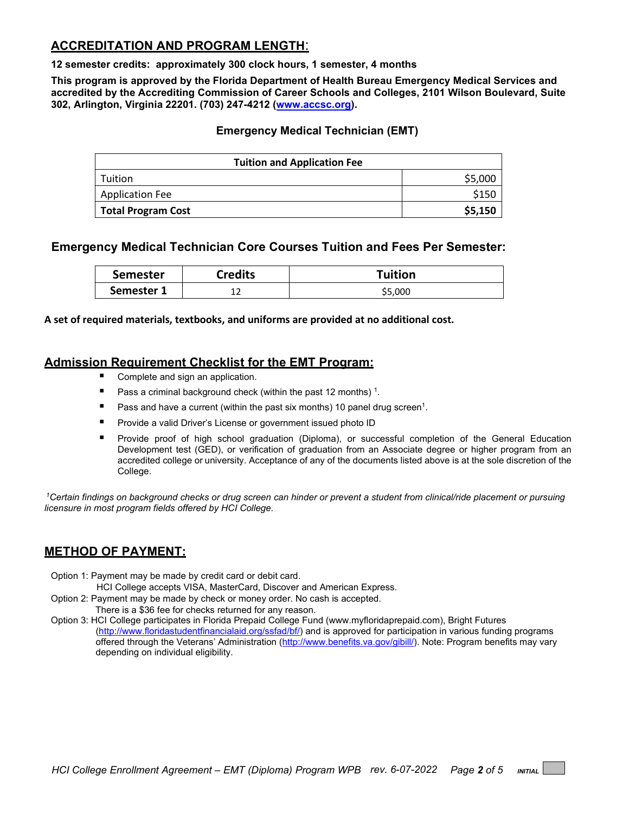### **ACCREDITATION AND PROGRAM LENGTH**:

**12 semester credits: approximately 300 clock hours, 1 semester, 4 months**

**This program is approved by the Florida Department of Health Bureau Emergency Medical Services and accredited by the Accrediting Commission of Career Schools and Colleges, 2101 Wilson Boulevard, Suite 302, Arlington, Virginia 22201. (703) 247-4212 [\(www.accsc.org\)](http://www.accsc.org/).**

### **Emergency Medical Technician (EMT)**

| <b>Tuition and Application Fee</b> |         |  |
|------------------------------------|---------|--|
| Tuition                            | \$5,000 |  |
| <b>Application Fee</b>             | \$150   |  |
| <b>Total Program Cost</b>          | \$5,150 |  |

### **Emergency Medical Technician Core Courses Tuition and Fees Per Semester:**

| <b>Semester</b> | <b>Credits</b> | Tuition |
|-----------------|----------------|---------|
| Semester        | ∸∸             | \$5,000 |

**A set of required materials, textbooks, and uniforms are provided at no additional cost.**

### **Admission Requirement Checklist for the EMT Program:**

- Complete and sign an application.
- Pass a criminal background check (within the past 12 months)<sup>1</sup>.
- **Pass and have a current (within the past six months) 10 panel drug screen<sup>1</sup>.**
- **Provide a valid Driver's License or government issued photo ID**
- Provide proof of high school graduation (Diploma), or successful completion of the General Education Development test (GED), or verification of graduation from an Associate degree or higher program from an accredited college or university. Acceptance of any of the documents listed above is at the sole discretion of the College.

*1Certain findings on background checks or drug screen can hinder or prevent a student from clinical/ride placement or pursuing licensure in most program fields offered by HCI College.* 

### **METHOD OF PAYMENT:**

- Option 1: Payment may be made by credit card or debit card.
	- HCI College accepts VISA, MasterCard, Discover and American Express.
- Option 2: Payment may be made by check or money order. No cash is accepted. There is a \$36 fee for checks returned for any reason.
- Option 3: HCI College participates in Florida Prepaid College Fund (www.myfloridaprepaid.com), Bright Futures [\(http://www.floridastudentfinancialaid.org/ssfad/bf/\)](http://www.floridastudentfinancialaid.org/ssfad/bf/) and is approved for participation in various funding programs offered through the Veterans' Administration [\(http://www.benefits.va.gov/gibill/\)](http://www.benefits.va.gov/gibill/). Note: Program benefits may vary depending on individual eligibility.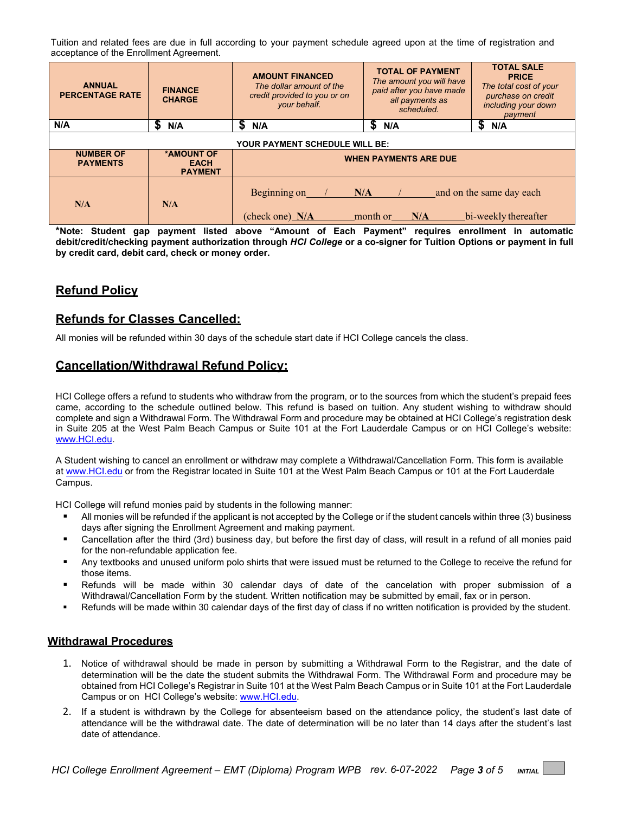Tuition and related fees are due in full according to your payment schedule agreed upon at the time of registration and acceptance of the Enrollment Agreement.

| <b>ANNUAL</b><br><b>PERCENTAGE RATE</b> | <b>FINANCE</b><br><b>CHARGE</b>             | <b>AMOUNT FINANCED</b><br>The dollar amount of the<br>credit provided to you or on<br>your behalf. | <b>TOTAL OF PAYMENT</b><br>The amount you will have<br>paid after you have made<br>all payments as<br>scheduled. | <b>TOTAL SALE</b><br><b>PRICE</b><br>The total cost of your<br>purchase on credit<br>including your down<br>payment |
|-----------------------------------------|---------------------------------------------|----------------------------------------------------------------------------------------------------|------------------------------------------------------------------------------------------------------------------|---------------------------------------------------------------------------------------------------------------------|
| N/A                                     | S<br>N/A                                    | S<br>N/A                                                                                           | S<br>N/A                                                                                                         | S<br>N/A                                                                                                            |
| <b>YOUR PAYMENT SCHEDULE WILL BE:</b>   |                                             |                                                                                                    |                                                                                                                  |                                                                                                                     |
| <b>NUMBER OF</b><br><b>PAYMENTS</b>     | *AMOUNT OF<br><b>EACH</b><br><b>PAYMENT</b> |                                                                                                    | <b>WHEN PAYMENTS ARE DUE</b>                                                                                     |                                                                                                                     |
| N/A                                     | N/A                                         | Beginning on<br>(check one) N/A                                                                    | N/A<br>month or<br>N/A                                                                                           | and on the same day each<br>bi-weekly thereafter                                                                    |

**\*Note: Student gap payment listed above "Amount of Each Payment" requires enrollment in automatic debit/credit/checking payment authorization through** *HCI College* **or a co-signer for Tuition Options or payment in full by credit card, debit card, check or money order.**

### **Refund Policy**

### **Refunds for Classes Cancelled:**

All monies will be refunded within 30 days of the schedule start date if HCI College cancels the class.

### **Cancellation/Withdrawal Refund Policy:**

HCI College offers a refund to students who withdraw from the program, or to the sources from which the student's prepaid fees came, according to the schedule outlined below. This refund is based on tuition. Any student wishing to withdraw should complete and sign a Withdrawal Form. The Withdrawal Form and procedure may be obtained at HCI College's registration desk in Suite 205 at the West Palm Beach Campus or Suite 101 at the Fort Lauderdale Campus or on HCI College's website: [www.HCI.edu.](http://www.hci.edu/)

A Student wishing to cancel an enrollment or withdraw may complete a Withdrawal/Cancellation Form. This form is available at [www.HCI.edu](http://www.hci.edu/) or from the Registrar located in Suite 101 at the West Palm Beach Campus or 101 at the Fort Lauderdale Campus.

HCI College will refund monies paid by students in the following manner:

- All monies will be refunded if the applicant is not accepted by the College or if the student cancels within three (3) business days after signing the Enrollment Agreement and making payment.
- Cancellation after the third (3rd) business day, but before the first day of class, will result in a refund of all monies paid for the non-refundable application fee.
- **Any textbooks and unused uniform polo shirts that were issued must be returned to the College to receive the refund for** those items.
- Refunds will be made within 30 calendar days of date of the cancelation with proper submission of a Withdrawal/Cancellation Form by the student. Written notification may be submitted by email, fax or in person.
- Refunds will be made within 30 calendar days of the first day of class if no written notification is provided by the student.

#### **Withdrawal Procedures**

- 1. Notice of withdrawal should be made in person by submitting a Withdrawal Form to the Registrar, and the date of determination will be the date the student submits the Withdrawal Form. The Withdrawal Form and procedure may be obtained from HCI College's Registrar in Suite 101 at the West Palm Beach Campus or in Suite 101 at the Fort Lauderdale Campus or on HCI College's website: [www.HCI.edu.](http://www.hci.edu/)
- 2. If a student is withdrawn by the College for absenteeism based on the attendance policy, the student's last date of attendance will be the withdrawal date. The date of determination will be no later than 14 days after the student's last date of attendance.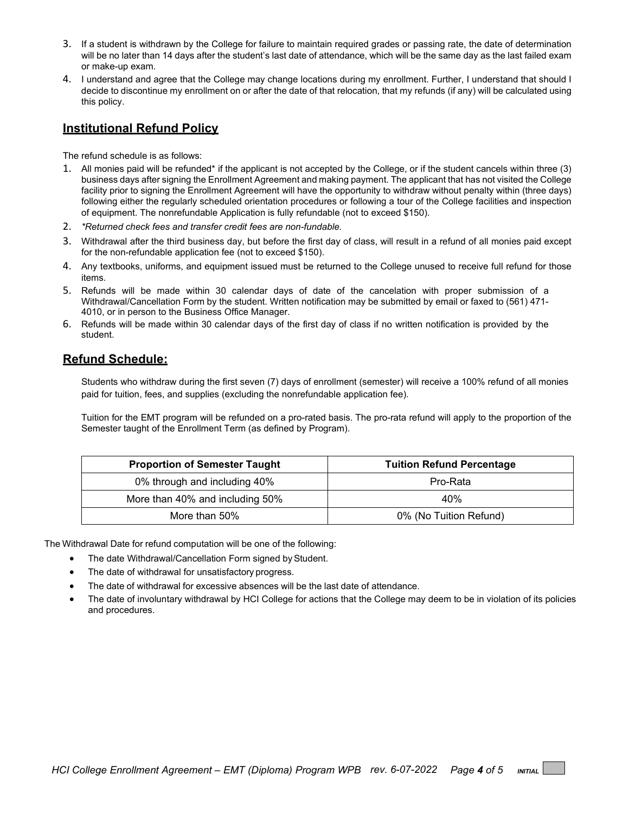- 3. If a student is withdrawn by the College for failure to maintain required grades or passing rate, the date of determination will be no later than 14 days after the student's last date of attendance, which will be the same day as the last failed exam or make-up exam.
- 4. I understand and agree that the College may change locations during my enrollment. Further, I understand that should I decide to discontinue my enrollment on or after the date of that relocation, that my refunds (if any) will be calculated using this policy.

### **Institutional Refund Policy**

The refund schedule is as follows:

- 1. All monies paid will be refunded\* if the applicant is not accepted by the College, or if the student cancels within three (3) business days after signing the Enrollment Agreement and making payment. The applicant that has not visited the College facility prior to signing the Enrollment Agreement will have the opportunity to withdraw without penalty within (three days) following either the regularly scheduled orientation procedures or following a tour of the College facilities and inspection of equipment. The nonrefundable Application is fully refundable (not to exceed \$150).
- 2. *\*Returned check fees and transfer credit fees are non-fundable.*
- 3. Withdrawal after the third business day, but before the first day of class, will result in a refund of all monies paid except for the non-refundable application fee (not to exceed \$150).
- 4. Any textbooks, uniforms, and equipment issued must be returned to the College unused to receive full refund for those items.
- 5. Refunds will be made within 30 calendar days of date of the cancelation with proper submission of a Withdrawal/Cancellation Form by the student. Written notification may be submitted by email or faxed to (561) 471- 4010, or in person to the Business Office Manager.
- 6. Refunds will be made within 30 calendar days of the first day of class if no written notification is provided by the student.

### **Refund Schedule:**

Students who withdraw during the first seven (7) days of enrollment (semester) will receive a 100% refund of all monies paid for tuition, fees, and supplies (excluding the nonrefundable application fee).

Tuition for the EMT program will be refunded on a pro-rated basis. The pro-rata refund will apply to the proportion of the Semester taught of the Enrollment Term (as defined by Program).

| <b>Proportion of Semester Taught</b> | <b>Tuition Refund Percentage</b> |
|--------------------------------------|----------------------------------|
| 0% through and including 40%         | Pro-Rata                         |
| More than 40% and including 50%      | 40%                              |
| More than 50%                        | 0% (No Tuition Refund)           |

The Withdrawal Date for refund computation will be one of the following:

- The date Withdrawal/Cancellation Form signed by Student.
- The date of withdrawal for unsatisfactory progress.
- The date of withdrawal for excessive absences will be the last date of attendance.
- The date of involuntary withdrawal by HCI College for actions that the College may deem to be in violation of its policies and procedures.